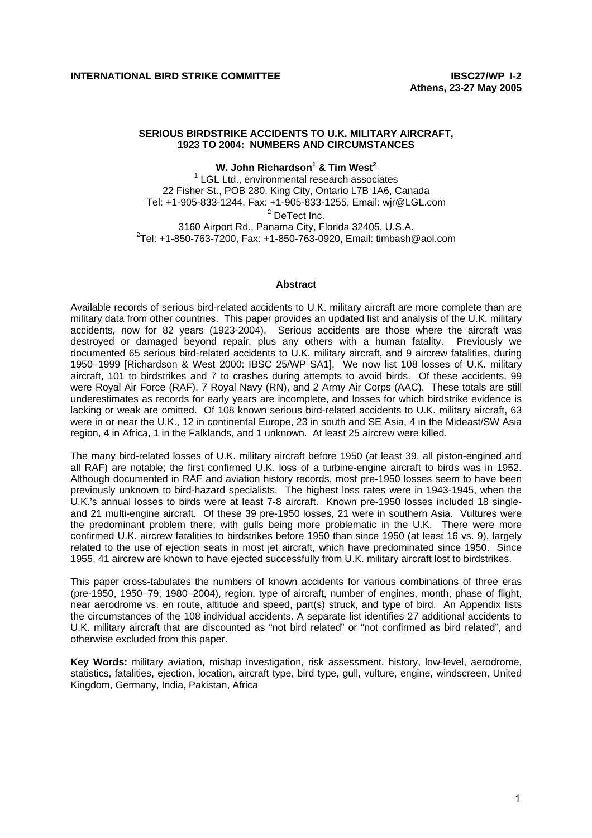## **SERIOUS BIRDSTRIKE ACCIDENTS TO U.K. MILITARY AIRCRAFT, 1923 TO 2004: NUMBERS AND CIRCUMSTANCES**

**W. John Richardson1 & Tim West<sup>2</sup>**

<sup>1</sup> LGL Ltd., environmental research associates 22 Fisher St., POB 280, King City, Ontario L7B 1A6, Canada Tel: +1-905-833-1244, Fax: +1-905-833-1255, Email: wjr@LGL.com <sup>2</sup> DeTect Inc. 3160 Airport Rd., Panama City, Florida 32405, U.S.A. 2  $2^2$ Tel: +1-850-763-7200, Fax: +1-850-763-0920, Email: timbash@aol.com

#### **Abstract**

Available records of serious bird-related accidents to U.K. military aircraft are more complete than are military data from other countries. This paper provides an updated list and analysis of the U.K. military accidents, now for 82 years (1923-2004). Serious accidents are those where the aircraft was destroyed or damaged beyond repair, plus any others with a human fatality. Previously we documented 65 serious bird-related accidents to U.K. military aircraft, and 9 aircrew fatalities, during 1950–1999 [Richardson & West 2000: IBSC 25/WP SA1]. We now list 108 losses of U.K. military aircraft, 101 to birdstrikes and 7 to crashes during attempts to avoid birds. Of these accidents, 99 were Royal Air Force (RAF), 7 Royal Navy (RN), and 2 Army Air Corps (AAC). These totals are still underestimates as records for early years are incomplete, and losses for which birdstrike evidence is lacking or weak are omitted. Of 108 known serious bird-related accidents to U.K. military aircraft, 63 were in or near the U.K., 12 in continental Europe, 23 in south and SE Asia, 4 in the Mideast/SW Asia region, 4 in Africa, 1 in the Falklands, and 1 unknown. At least 25 aircrew were killed.

The many bird-related losses of U.K. military aircraft before 1950 (at least 39, all piston-engined and all RAF) are notable; the first confirmed U.K. loss of a turbine-engine aircraft to birds was in 1952. Although documented in RAF and aviation history records, most pre-1950 losses seem to have been previously unknown to bird-hazard specialists. The highest loss rates were in 1943-1945, when the U.K.'s annual losses to birds were at least 7-8 aircraft. Known pre-1950 losses included 18 singleand 21 multi-engine aircraft. Of these 39 pre-1950 losses, 21 were in southern Asia. Vultures were the predominant problem there, with gulls being more problematic in the U.K. There were more confirmed U.K. aircrew fatalities to birdstrikes before 1950 than since 1950 (at least 16 vs. 9), largely related to the use of ejection seats in most jet aircraft, which have predominated since 1950. Since 1955, 41 aircrew are known to have ejected successfully from U.K. military aircraft lost to birdstrikes.

This paper cross-tabulates the numbers of known accidents for various combinations of three eras (pre-1950, 1950–79, 1980–2004), region, type of aircraft, number of engines, month, phase of flight, near aerodrome vs. en route, altitude and speed, part(s) struck, and type of bird. An Appendix lists the circumstances of the 108 individual accidents. A separate list identifies 27 additional accidents to U.K. military aircraft that are discounted as "not bird related" or "not confirmed as bird related", and otherwise excluded from this paper.

**Key Words:** military aviation, mishap investigation, risk assessment, history, low-level, aerodrome, statistics, fatalities, ejection, location, aircraft type, bird type, gull, vulture, engine, windscreen, United Kingdom, Germany, India, Pakistan, Africa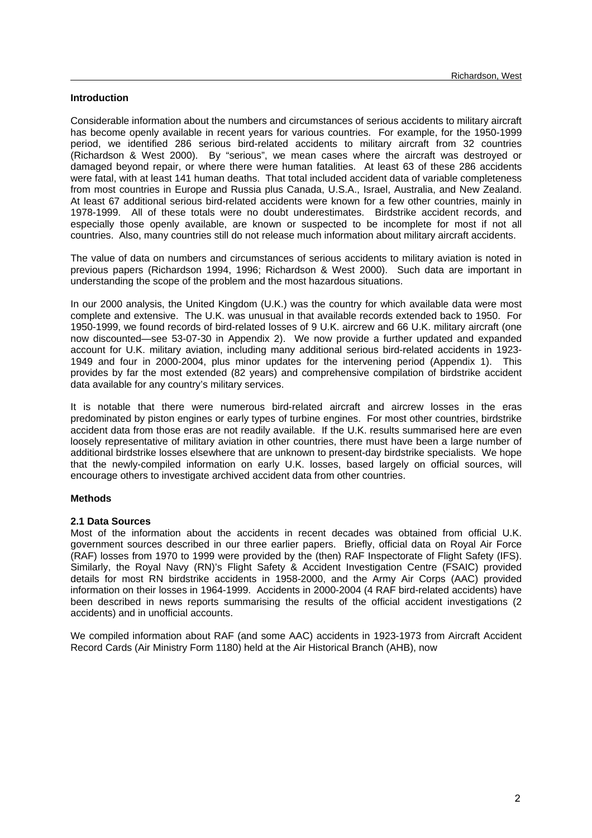## **Introduction**

Considerable information about the numbers and circumstances of serious accidents to military aircraft has become openly available in recent years for various countries. For example, for the 1950-1999 period, we identified 286 serious bird-related accidents to military aircraft from 32 countries (Richardson & West 2000). By "serious", we mean cases where the aircraft was destroyed or damaged beyond repair, or where there were human fatalities. At least 63 of these 286 accidents were fatal, with at least 141 human deaths. That total included accident data of variable completeness from most countries in Europe and Russia plus Canada, U.S.A., Israel, Australia, and New Zealand. At least 67 additional serious bird-related accidents were known for a few other countries, mainly in 1978-1999. All of these totals were no doubt underestimates. Birdstrike accident records, and especially those openly available, are known or suspected to be incomplete for most if not all countries. Also, many countries still do not release much information about military aircraft accidents.

The value of data on numbers and circumstances of serious accidents to military aviation is noted in previous papers (Richardson 1994, 1996; Richardson & West 2000). Such data are important in understanding the scope of the problem and the most hazardous situations.

In our 2000 analysis, the United Kingdom (U.K.) was the country for which available data were most complete and extensive. The U.K. was unusual in that available records extended back to 1950. For 1950-1999, we found records of bird-related losses of 9 U.K. aircrew and 66 U.K. military aircraft (one now discounted—see 53-07-30 in Appendix 2). We now provide a further updated and expanded account for U.K. military aviation, including many additional serious bird-related accidents in 1923- 1949 and four in 2000-2004, plus minor updates for the intervening period (Appendix 1). This provides by far the most extended (82 years) and comprehensive compilation of birdstrike accident data available for any country's military services.

It is notable that there were numerous bird-related aircraft and aircrew losses in the eras predominated by piston engines or early types of turbine engines. For most other countries, birdstrike accident data from those eras are not readily available. If the U.K. results summarised here are even loosely representative of military aviation in other countries, there must have been a large number of additional birdstrike losses elsewhere that are unknown to present-day birdstrike specialists. We hope that the newly-compiled information on early U.K. losses, based largely on official sources, will encourage others to investigate archived accident data from other countries.

## **Methods**

## **2.1 Data Sources**

Most of the information about the accidents in recent decades was obtained from official U.K. government sources described in our three earlier papers. Briefly, official data on Royal Air Force (RAF) losses from 1970 to 1999 were provided by the (then) RAF Inspectorate of Flight Safety (IFS). Similarly, the Royal Navy (RN)'s Flight Safety & Accident Investigation Centre (FSAIC) provided details for most RN birdstrike accidents in 1958-2000, and the Army Air Corps (AAC) provided information on their losses in 1964-1999. Accidents in 2000-2004 (4 RAF bird-related accidents) have been described in news reports summarising the results of the official accident investigations (2 accidents) and in unofficial accounts.

We compiled information about RAF (and some AAC) accidents in 1923-1973 from Aircraft Accident Record Cards (Air Ministry Form 1180) held at the Air Historical Branch (AHB), now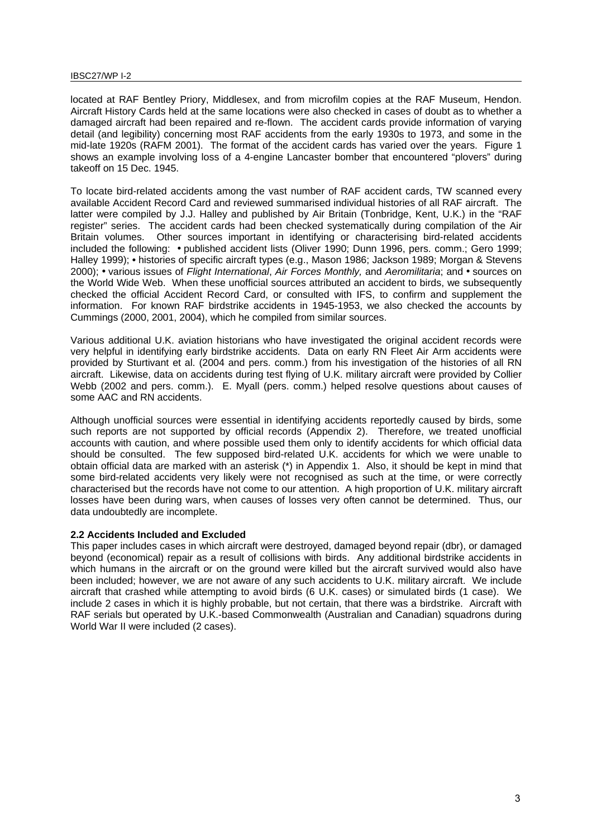#### IBSC27/WP I-2

located at RAF Bentley Priory, Middlesex, and from microfilm copies at the RAF Museum, Hendon. Aircraft History Cards held at the same locations were also checked in cases of doubt as to whether a damaged aircraft had been repaired and re-flown. The accident cards provide information of varying detail (and legibility) concerning most RAF accidents from the early 1930s to 1973, and some in the mid-late 1920s (RAFM 2001). The format of the accident cards has varied over the years. Figure 1 shows an example involving loss of a 4-engine Lancaster bomber that encountered "plovers" during takeoff on 15 Dec. 1945.

To locate bird-related accidents among the vast number of RAF accident cards, TW scanned every available Accident Record Card and reviewed summarised individual histories of all RAF aircraft. The latter were compiled by J.J. Halley and published by Air Britain (Tonbridge, Kent, U.K.) in the "RAF register" series. The accident cards had been checked systematically during compilation of the Air Britain volumes. Other sources important in identifying or characterising bird-related accidents included the following: **•** published accident lists (Oliver 1990; Dunn 1996, pers. comm.; Gero 1999; Halley 1999); **•** histories of specific aircraft types (e.g., Mason 1986; Jackson 1989; Morgan & Stevens 2000); **•** various issues of *Flight International*, *Air Forces Monthly,* and *Aeromilitaria*; and **•** sources on the World Wide Web. When these unofficial sources attributed an accident to birds, we subsequently checked the official Accident Record Card, or consulted with IFS, to confirm and supplement the information. For known RAF birdstrike accidents in 1945-1953, we also checked the accounts by Cummings (2000, 2001, 2004), which he compiled from similar sources.

Various additional U.K. aviation historians who have investigated the original accident records were very helpful in identifying early birdstrike accidents. Data on early RN Fleet Air Arm accidents were provided by Sturtivant et al. (2004 and pers. comm.) from his investigation of the histories of all RN aircraft. Likewise, data on accidents during test flying of U.K. military aircraft were provided by Collier Webb (2002 and pers. comm.). E. Myall (pers. comm.) helped resolve questions about causes of some AAC and RN accidents.

Although unofficial sources were essential in identifying accidents reportedly caused by birds, some such reports are not supported by official records (Appendix 2). Therefore, we treated unofficial accounts with caution, and where possible used them only to identify accidents for which official data should be consulted. The few supposed bird-related U.K. accidents for which we were unable to obtain official data are marked with an asterisk (\*) in Appendix 1. Also, it should be kept in mind that some bird-related accidents very likely were not recognised as such at the time, or were correctly characterised but the records have not come to our attention. A high proportion of U.K. military aircraft losses have been during wars, when causes of losses very often cannot be determined. Thus, our data undoubtedly are incomplete.

## **2.2 Accidents Included and Excluded**

This paper includes cases in which aircraft were destroyed, damaged beyond repair (dbr), or damaged beyond (economical) repair as a result of collisions with birds. Any additional birdstrike accidents in which humans in the aircraft or on the ground were killed but the aircraft survived would also have been included; however, we are not aware of any such accidents to U.K. military aircraft. We include aircraft that crashed while attempting to avoid birds (6 U.K. cases) or simulated birds (1 case). We include 2 cases in which it is highly probable, but not certain, that there was a birdstrike. Aircraft with RAF serials but operated by U.K.-based Commonwealth (Australian and Canadian) squadrons during World War II were included (2 cases).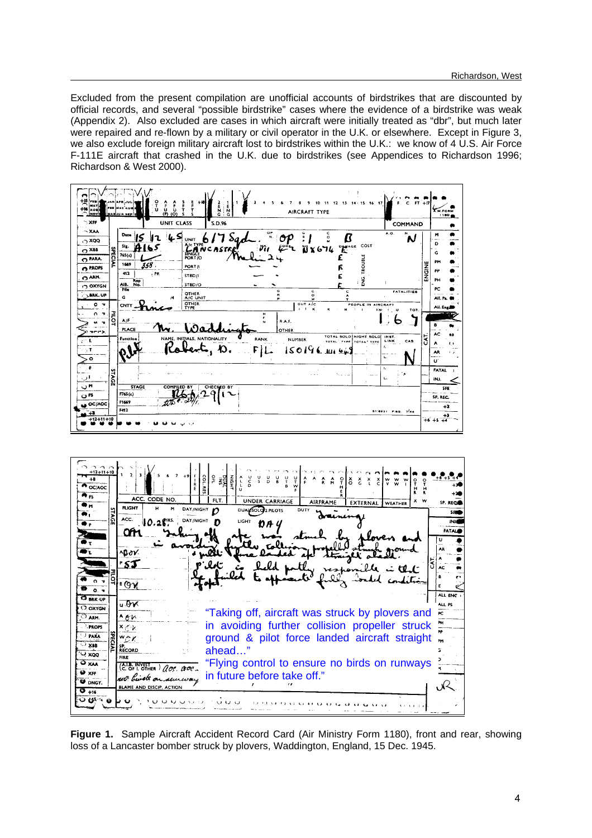Excluded from the present compilation are unofficial accounts of birdstrikes that are discounted by official records, and several "possible birdstrike" cases where the evidence of a birdstrike was weak (Appendix 2). Also excluded are cases in which aircraft were initially treated as "dbr", but much later were repaired and re-flown by a military or civil operator in the U.K. or elsewhere. Except in Figure 3, we also exclude foreign military aircraft lost to birdstrikes within the U.K.: we know of 4 U.S. Air Force F-111E aircraft that crashed in the U.K. due to birdstrikes (see Appendices to Richardson 1996; Richardson & West 2000).

| 博物<br><b>FRB</b><br><b>MAY</b><br>AUG<br><b>Novi</b> |                | 13 14 15 16 17<br>F<br>E<br>Q<br>$0.2 \, m$<br><u>່ບໍ່</u><br>( <u>ໆ (ດ)</u><br>ţ<br>т<br>AIRCRAFT TYPE<br>i wan <u>i zu ni nazi</u>                  | C $FT + 17$        |        | A.M.FORM<br>1180     |
|------------------------------------------------------|----------------|-------------------------------------------------------------------------------------------------------------------------------------------------------|--------------------|--------|----------------------|
| $\sim$ XFF                                           |                | <b>UNIT CLASS</b><br>S.D.96                                                                                                                           | COMMAND            |        |                      |
| $\neg$ XAA<br>$\sim$ xgq<br>$\odot$ XBB              |                | $\overline{\mathbf{R}}$<br>G<br>Date<br>k S<br>OP<br>۰<br><b>UNIT</b><br>LANCASTE<br><b>PENAGE COST</b><br>Sig.<br>أحقيقا<br>$\mathbf{G}$<br>13 x 674 | A.O.<br>Ν.<br>N    |        | M<br>D<br>G          |
| O PARA.                                              | <b>SPECIAL</b> | SINGLE<br>PORT/O<br>765(c)                                                                                                                            |                    |        | PM                   |
| <b>C</b> PROPS                                       |                | 1669<br>358 .<br>PORT/I                                                                                                                               |                    | ENGINE | PP                   |
| O ARM.                                               |                | ENG. TROUBLE<br>. PR<br>412<br>STBD/I<br>Rep<br>No.                                                                                                   |                    |        | PH                   |
| OXYGN                                                |                | AIB.<br>STBD/O<br><b>File</b><br>G<br>c<br>c                                                                                                          | <b>FATALITIES</b>  |        | PC                   |
| <b>CLARK.UP</b>                                      |                | <b>OTHER</b><br>R<br>$\circ$<br>G<br>A/C UNIT<br>14<br>٠                                                                                              |                    |        | All. Pa.             |
| $0 -$                                                |                | <b>OTHER</b><br>$OUT$ $A$ $C$<br>PEOPLE IN AIRCRAFT<br><b>CNTY</b><br><b>TYPE</b><br>$\blacksquare$<br>$\boldsymbol{\kappa}$<br>м<br>1(3)             | TOT.<br>υ          |        | All. Englis          |
| n.                                                   | <b>PILOT</b>   | н<br>F.<br>A/F<br>R.A.F.                                                                                                                              |                    |        |                      |
| $\mathbf{\hat{v}}$                                   |                | N<br>PLACE<br>OTHER                                                                                                                                   | っ                  |        |                      |
| T(T)                                                 |                | TOTAL SOLO NIGHT SOLO<br>NAME, INITIALS, NATIONALITY<br>Function<br><b>RANK</b><br><b>NUMBER</b>                                                      | INST.              | ā      | AC.                  |
| 合理<br>$\gamma$ T                                     |                | TOTAL TYPE TOTAL TYPE<br>$\boldsymbol{\mathcal{D}}$<br>$150196$ m $649$                                                                               | LINK<br>CAS.<br>ŧ. |        |                      |
| $\bullet$                                            |                |                                                                                                                                                       | Ц.                 |        | AR.<br>.<br>Đ.       |
| $\mathbb{R}$                                         |                | No anno                                                                                                                                               | т.<br>٠            |        | <b>FATAL</b>         |
| 1 د.                                                 | STAGE          |                                                                                                                                                       | L.                 |        | INJ.                 |
| ™ن                                                   |                | <b>STAGE</b><br><b>COMPILED BY</b><br>CHECKED BY<br>F765(c)                                                                                           |                    |        | SFE                  |
| O <sub>FS</sub>                                      |                | F1669                                                                                                                                                 |                    |        | SP. REC.             |
| OC/AOC<br>- 13                                       |                | F412                                                                                                                                                  | 31-8931 P.6G. 7144 |        | $+2$                 |
| $+12+11+10$                                          |                |                                                                                                                                                       |                    |        | $+6+5+\frac{+3}{+4}$ |
|                                                      |                |                                                                                                                                                       |                    |        |                      |



**Figure 1.** Sample Aircraft Accident Record Card (Air Ministry Form 1180), front and rear, showing loss of a Lancaster bomber struck by plovers, Waddington, England, 15 Dec. 1945.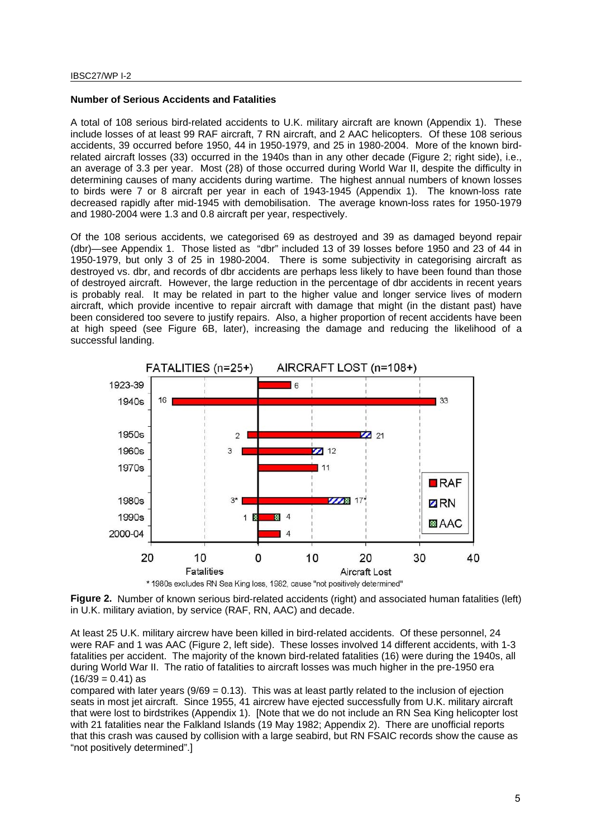#### **Number of Serious Accidents and Fatalities**

A total of 108 serious bird-related accidents to U.K. military aircraft are known (Appendix 1). These include losses of at least 99 RAF aircraft, 7 RN aircraft, and 2 AAC helicopters. Of these 108 serious accidents, 39 occurred before 1950, 44 in 1950-1979, and 25 in 1980-2004. More of the known birdrelated aircraft losses (33) occurred in the 1940s than in any other decade (Figure 2; right side), i.e., an average of 3.3 per year. Most (28) of those occurred during World War II, despite the difficulty in determining causes of many accidents during wartime. The highest annual numbers of known losses to birds were 7 or 8 aircraft per year in each of 1943-1945 (Appendix 1). The known-loss rate decreased rapidly after mid-1945 with demobilisation. The average known-loss rates for 1950-1979 and 1980-2004 were 1.3 and 0.8 aircraft per year, respectively.

Of the 108 serious accidents, we categorised 69 as destroyed and 39 as damaged beyond repair (dbr)—see Appendix 1. Those listed as "dbr" included 13 of 39 losses before 1950 and 23 of 44 in 1950-1979, but only 3 of 25 in 1980-2004. There is some subjectivity in categorising aircraft as destroyed vs. dbr, and records of dbr accidents are perhaps less likely to have been found than those of destroyed aircraft. However, the large reduction in the percentage of dbr accidents in recent years is probably real. It may be related in part to the higher value and longer service lives of modern aircraft, which provide incentive to repair aircraft with damage that might (in the distant past) have been considered too severe to justify repairs. Also, a higher proportion of recent accidents have been at high speed (see Figure 6B, later), increasing the damage and reducing the likelihood of a successful landing.





**Figure 2.** Number of known serious bird-related accidents (right) and associated human fatalities (left) in U.K. military aviation, by service (RAF, RN, AAC) and decade.

At least 25 U.K. military aircrew have been killed in bird-related accidents. Of these personnel, 24 were RAF and 1 was AAC (Figure 2, left side). These losses involved 14 different accidents, with 1-3 fatalities per accident. The majority of the known bird-related fatalities (16) were during the 1940s, all during World War II. The ratio of fatalities to aircraft losses was much higher in the pre-1950 era  $(16/39 = 0.41)$  as

compared with later years  $(9/69 = 0.13)$ . This was at least partly related to the inclusion of ejection seats in most jet aircraft. Since 1955, 41 aircrew have ejected successfully from U.K. military aircraft that were lost to birdstrikes (Appendix 1). [Note that we do not include an RN Sea King helicopter lost with 21 fatalities near the Falkland Islands (19 May 1982; Appendix 2). There are unofficial reports that this crash was caused by collision with a large seabird, but RN FSAIC records show the cause as "not positively determined".]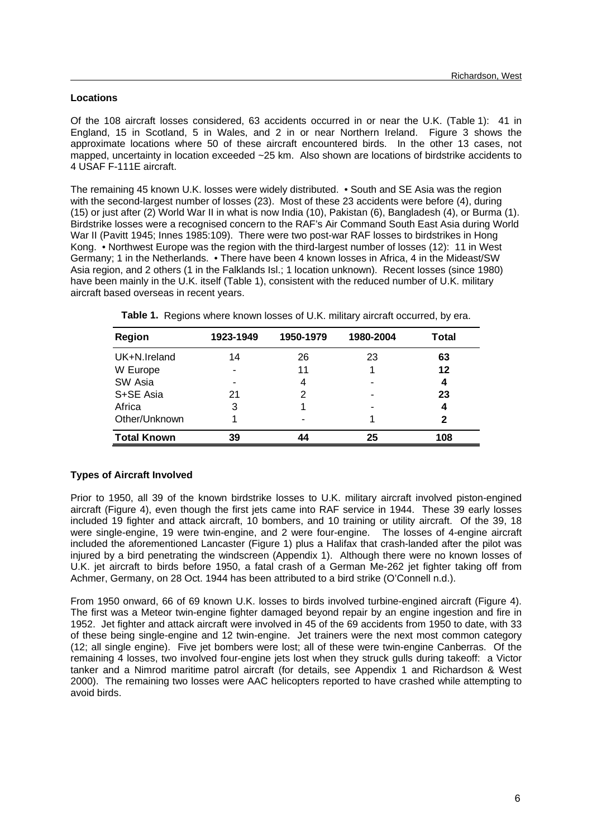# **Locations**

Of the 108 aircraft losses considered, 63 accidents occurred in or near the U.K. (Table 1): 41 in England, 15 in Scotland, 5 in Wales, and 2 in or near Northern Ireland. Figure 3 shows the approximate locations where 50 of these aircraft encountered birds. In the other 13 cases, not mapped, uncertainty in location exceeded ~25 km. Also shown are locations of birdstrike accidents to 4 USAF F-111E aircraft.

The remaining 45 known U.K. losses were widely distributed. • South and SE Asia was the region with the second-largest number of losses (23). Most of these 23 accidents were before (4), during (15) or just after (2) World War II in what is now India (10), Pakistan (6), Bangladesh (4), or Burma (1). Birdstrike losses were a recognised concern to the RAF's Air Command South East Asia during World War II (Pavitt 1945; Innes 1985:109). There were two post-war RAF losses to birdstrikes in Hong Kong. • Northwest Europe was the region with the third-largest number of losses (12): 11 in West Germany; 1 in the Netherlands. • There have been 4 known losses in Africa, 4 in the Mideast/SW Asia region, and 2 others (1 in the Falklands Isl.; 1 location unknown). Recent losses (since 1980) have been mainly in the U.K. itself (Table 1), consistent with the reduced number of U.K. military aircraft based overseas in recent years.

| Region             | 1923-1949 | 1950-1979 | 1980-2004 | Total |
|--------------------|-----------|-----------|-----------|-------|
| UK+N.Ireland       | 14        | 26        | 23        | 63    |
| W Europe           |           | 11        |           | 12    |
| SW Asia            | -         | 4         |           | 4     |
| S+SE Asia          | 21        | 2         |           | 23    |
| Africa             | 3         |           |           | 4     |
| Other/Unknown      |           | -         |           | 2     |
| <b>Total Known</b> | 39        | 44        | 25        | 108   |

**Table 1.** Regions where known losses of U.K. military aircraft occurred, by era.

# **Types of Aircraft Involved**

Prior to 1950, all 39 of the known birdstrike losses to U.K. military aircraft involved piston-engined aircraft (Figure 4), even though the first jets came into RAF service in 1944. These 39 early losses included 19 fighter and attack aircraft, 10 bombers, and 10 training or utility aircraft. Of the 39, 18 were single-engine, 19 were twin-engine, and 2 were four-engine. The losses of 4-engine aircraft included the aforementioned Lancaster (Figure 1) plus a Halifax that crash-landed after the pilot was injured by a bird penetrating the windscreen (Appendix 1). Although there were no known losses of U.K. jet aircraft to birds before 1950, a fatal crash of a German Me-262 jet fighter taking off from Achmer, Germany, on 28 Oct. 1944 has been attributed to a bird strike (O'Connell n.d.).

From 1950 onward, 66 of 69 known U.K. losses to birds involved turbine-engined aircraft (Figure 4). The first was a Meteor twin-engine fighter damaged beyond repair by an engine ingestion and fire in 1952. Jet fighter and attack aircraft were involved in 45 of the 69 accidents from 1950 to date, with 33 of these being single-engine and 12 twin-engine. Jet trainers were the next most common category (12; all single engine). Five jet bombers were lost; all of these were twin-engine Canberras. Of the remaining 4 losses, two involved four-engine jets lost when they struck gulls during takeoff: a Victor tanker and a Nimrod maritime patrol aircraft (for details, see Appendix 1 and Richardson & West 2000). The remaining two losses were AAC helicopters reported to have crashed while attempting to avoid birds.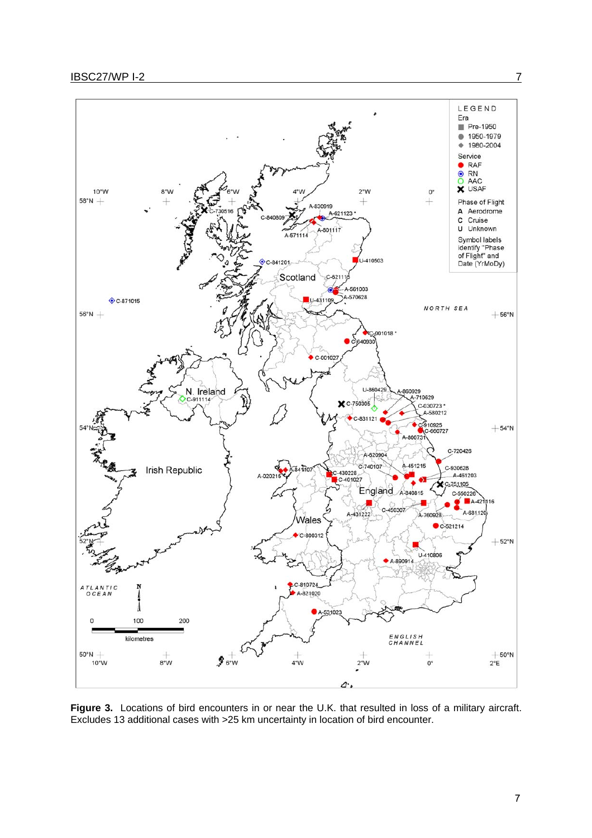

Figure 3. Locations of bird encounters in or near the U.K. that resulted in loss of a military aircraft. Excludes 13 additional cases with >25 km uncertainty in location of bird encounter.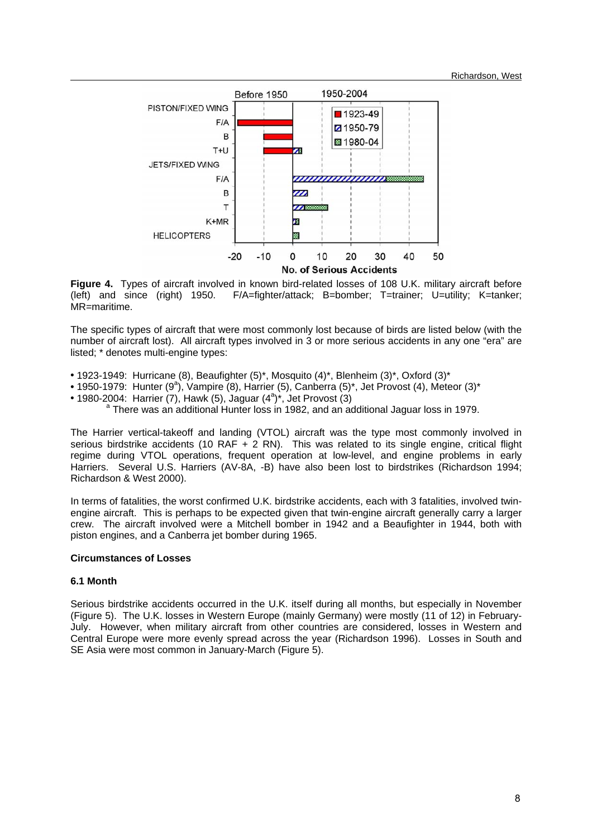

**Figure 4.** Types of aircraft involved in known bird-related losses of 108 U.K. military aircraft before (left)  $\theta$  (left) and since (right) 1950. F/A=fighter/attack: B=bomber: T=trainer: U=utility: K=tanker: F/A=fighter/attack: B=bomber; T=trainer; U=utility; K=tanker; MR=maritime.

The specific types of aircraft that were most commonly lost because of birds are listed below (with the number of aircraft lost). All aircraft types involved in 3 or more serious accidents in any one "era" are listed; \* denotes multi-engine types:

- **•** 1923-1949: Hurricane (8), Beaufighter (5)\*, Mosquito (4)\*, Blenheim (3)\*, Oxford (3)\*
- 1950-1979: Hunter (9<sup>a</sup>), Vampire (8), Harrier (5), Canberra (5)\*, Jet Provost (4), Meteor (3)\*
- 1980-2004: Harrier  $(7)$ , Hawk  $(5)$ , Jaguar  $(4^a)^*$ , Jet Provost  $(3)$ <br>a There wes an additional Hunter loss in 1982, and an ag

<sup>a</sup> There was an additional Hunter loss in 1982, and an additional Jaguar loss in 1979.

The Harrier vertical-takeoff and landing (VTOL) aircraft was the type most commonly involved in serious birdstrike accidents (10 RAF  $+$  2 RN). This was related to its single engine, critical flight regime during VTOL operations, frequent operation at low-level, and engine problems in early Harriers. Several U.S. Harriers (AV-8A, -B) have also been lost to birdstrikes (Richardson 1994; Richardson & West 2000).

In terms of fatalities, the worst confirmed U.K. birdstrike accidents, each with 3 fatalities, involved twinengine aircraft. This is perhaps to be expected given that twin-engine aircraft generally carry a larger crew. The aircraft involved were a Mitchell bomber in 1942 and a Beaufighter in 1944, both with piston engines, and a Canberra jet bomber during 1965.

## **Circumstances of Losses**

# **6.1 Month**

Serious birdstrike accidents occurred in the U.K. itself during all months, but especially in November (Figure 5). The U.K. losses in Western Europe (mainly Germany) were mostly (11 of 12) in February-July. However, when military aircraft from other countries are considered, losses in Western and Central Europe were more evenly spread across the year (Richardson 1996). Losses in South and SE Asia were most common in January-March (Figure 5).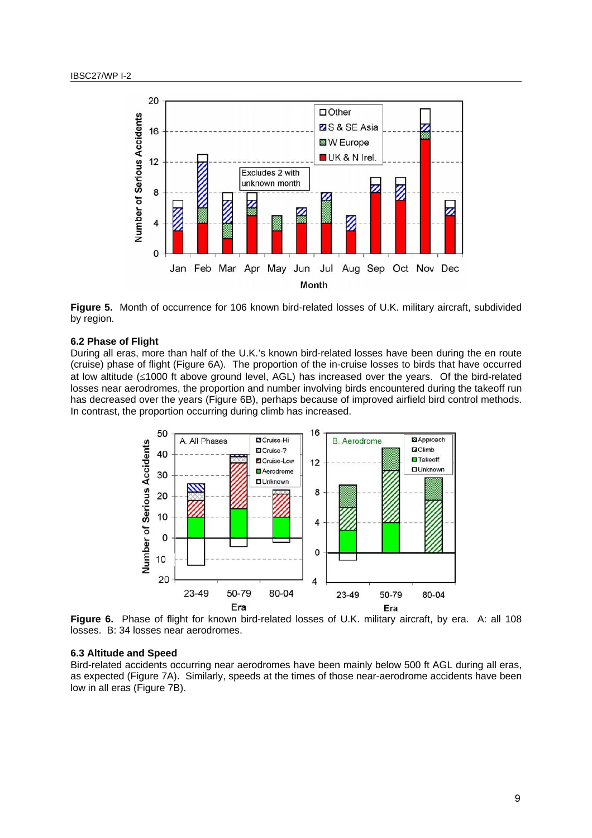

**Figure 5.** Month of occurrence for 106 known bird-related losses of U.K. military aircraft, subdivided by region.

#### **6.2 Phase of Flight**

During all eras, more than half of the U.K.'s known bird-related losses have been during the en route (cruise) phase of flight (Figure 6A). The proportion of the in-cruise losses to birds that have occurred at low altitude (≤1000 ft above ground level, AGL) has increased over the years. Of the bird-related losses near aerodromes, the proportion and number involving birds encountered during the takeoff run has decreased over the years (Figure 6B), perhaps because of improved airfield bird control methods. In contrast, the proportion occurring during climb has increased.



**Figure 6.** Phase of flight for known bird-related losses of U.K. military aircraft, by era. A: all 108 losses. B: 34 losses near aerodromes.

#### **6.3 Altitude and Speed**

Bird-related accidents occurring near aerodromes have been mainly below 500 ft AGL during all eras, as expected (Figure 7A). Similarly, speeds at the times of those near-aerodrome accidents have been low in all eras (Figure 7B).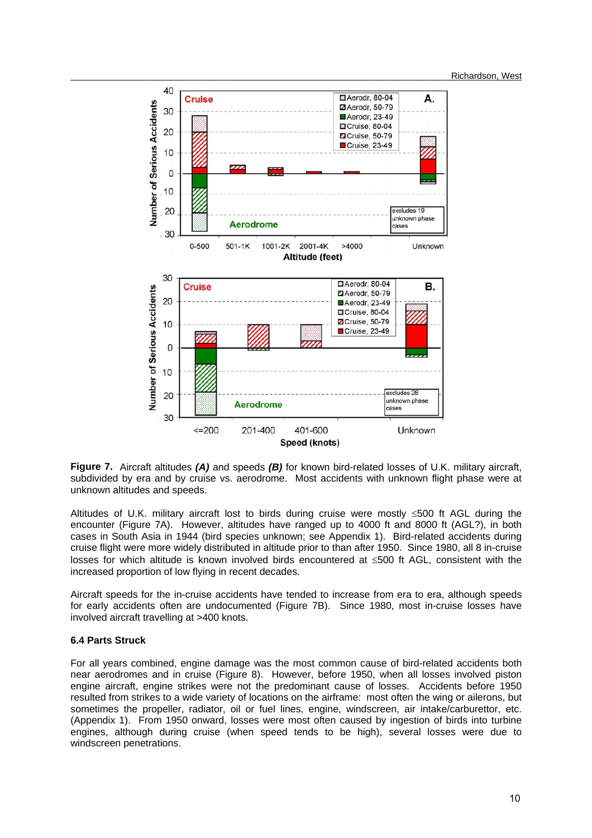

**Figure 7.** Aircraft altitudes *(A)* and speeds *(B)* for known bird-related losses of U.K. military aircraft, subdivided by era and by cruise vs. aerodrome. Most accidents with unknown flight phase were at unknown altitudes and speeds.

Altitudes of U.K. military aircraft lost to birds during cruise were mostly ≤500 ft AGL during the encounter (Figure 7A). However, altitudes have ranged up to 4000 ft and 8000 ft (AGL?), in both cases in South Asia in 1944 (bird species unknown; see Appendix 1). Bird-related accidents during cruise flight were more widely distributed in altitude prior to than after 1950. Since 1980, all 8 in-cruise losses for which altitude is known involved birds encountered at ≤500 ft AGL, consistent with the increased proportion of low flying in recent decades.

Aircraft speeds for the in-cruise accidents have tended to increase from era to era, although speeds for early accidents often are undocumented (Figure 7B). Since 1980, most in-cruise losses have involved aircraft travelling at >400 knots.

## **6.4 Parts Struck**

For all years combined, engine damage was the most common cause of bird-related accidents both near aerodromes and in cruise (Figure 8). However, before 1950, when all losses involved piston engine aircraft, engine strikes were not the predominant cause of losses. Accidents before 1950 resulted from strikes to a wide variety of locations on the airframe: most often the wing or ailerons, but sometimes the propeller, radiator, oil or fuel lines, engine, windscreen, air intake/carburettor, etc. (Appendix 1). From 1950 onward, losses were most often caused by ingestion of birds into turbine engines, although during cruise (when speed tends to be high), several losses were due to windscreen penetrations.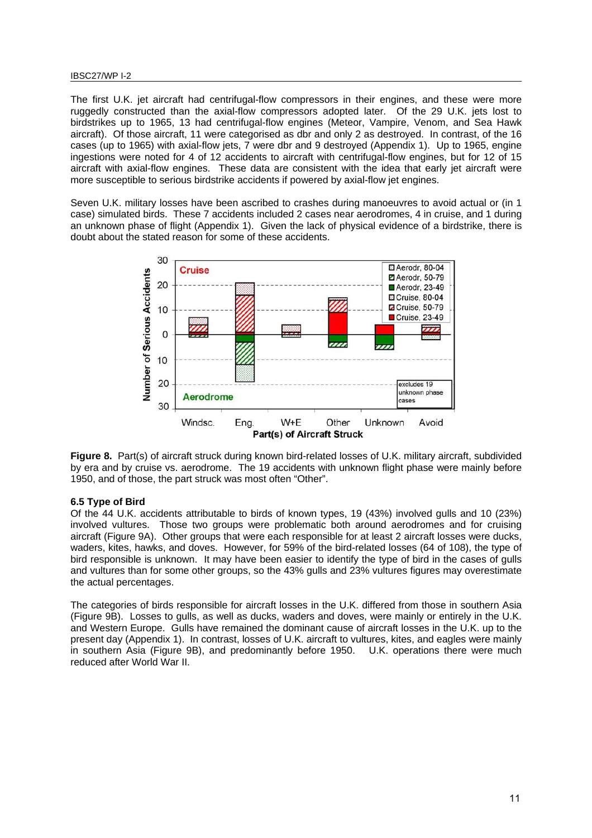#### IBSC27/WP I-2

The first U.K. jet aircraft had centrifugal-flow compressors in their engines, and these were more ruggedly constructed than the axial-flow compressors adopted later. Of the 29 U.K. jets lost to birdstrikes up to 1965, 13 had centrifugal-flow engines (Meteor, Vampire, Venom, and Sea Hawk aircraft). Of those aircraft, 11 were categorised as dbr and only 2 as destroyed. In contrast, of the 16 cases (up to 1965) with axial-flow jets, 7 were dbr and 9 destroyed (Appendix 1). Up to 1965, engine ingestions were noted for 4 of 12 accidents to aircraft with centrifugal-flow engines, but for 12 of 15 aircraft with axial-flow engines. These data are consistent with the idea that early jet aircraft were more susceptible to serious birdstrike accidents if powered by axial-flow jet engines.

Seven U.K. military losses have been ascribed to crashes during manoeuvres to avoid actual or (in 1 case) simulated birds. These 7 accidents included 2 cases near aerodromes, 4 in cruise, and 1 during an unknown phase of flight (Appendix 1). Given the lack of physical evidence of a birdstrike, there is doubt about the stated reason for some of these accidents.



**Figure 8.** Part(s) of aircraft struck during known bird-related losses of U.K. military aircraft, subdivided by era and by cruise vs. aerodrome. The 19 accidents with unknown flight phase were mainly before 1950, and of those, the part struck was most often "Other".

## **6.5 Type of Bird**

Of the 44 U.K. accidents attributable to birds of known types, 19 (43%) involved gulls and 10 (23%) involved vultures. Those two groups were problematic both around aerodromes and for cruising aircraft (Figure 9A). Other groups that were each responsible for at least 2 aircraft losses were ducks, waders, kites, hawks, and doves. However, for 59% of the bird-related losses (64 of 108), the type of bird responsible is unknown. It may have been easier to identify the type of bird in the cases of gulls and vultures than for some other groups, so the 43% gulls and 23% vultures figures may overestimate the actual percentages.

The categories of birds responsible for aircraft losses in the U.K. differed from those in southern Asia (Figure 9B). Losses to gulls, as well as ducks, waders and doves, were mainly or entirely in the U.K. and Western Europe. Gulls have remained the dominant cause of aircraft losses in the U.K. up to the present day (Appendix 1). In contrast, losses of U.K. aircraft to vultures, kites, and eagles were mainly in southern Asia (Figure 9B), and predominantly before 1950. U.K. operations there were much reduced after World War II.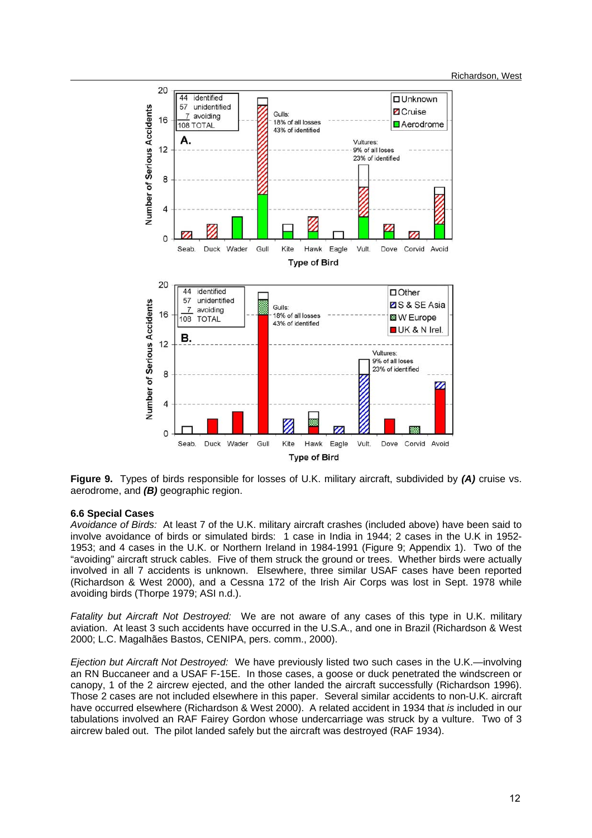

**Figure 9.** Types of birds responsible for losses of U.K. military aircraft, subdivided by *(A)* cruise vs. aerodrome, and *(B)* geographic region.

## **6.6 Special Cases**

*Avoidance of Birds:* At least 7 of the U.K. military aircraft crashes (included above) have been said to involve avoidance of birds or simulated birds: 1 case in India in 1944; 2 cases in the U.K in 1952- 1953; and 4 cases in the U.K. or Northern Ireland in 1984-1991 (Figure 9; Appendix 1). Two of the "avoiding" aircraft struck cables. Five of them struck the ground or trees. Whether birds were actually involved in all 7 accidents is unknown. Elsewhere, three similar USAF cases have been reported (Richardson & West 2000), and a Cessna 172 of the Irish Air Corps was lost in Sept. 1978 while avoiding birds (Thorpe 1979; ASI n.d.).

*Fatality but Aircraft Not Destroyed:* We are not aware of any cases of this type in U.K. military aviation. At least 3 such accidents have occurred in the U.S.A., and one in Brazil (Richardson & West 2000; L.C. Magalhães Bastos, CENIPA, pers. comm., 2000).

*Ejection but Aircraft Not Destroyed:* We have previously listed two such cases in the U.K.—involving an RN Buccaneer and a USAF F-15E. In those cases, a goose or duck penetrated the windscreen or canopy, 1 of the 2 aircrew ejected, and the other landed the aircraft successfully (Richardson 1996). Those 2 cases are not included elsewhere in this paper. Several similar accidents to non-U.K. aircraft have occurred elsewhere (Richardson & West 2000). A related accident in 1934 that *is* included in our tabulations involved an RAF Fairey Gordon whose undercarriage was struck by a vulture. Two of 3 aircrew baled out. The pilot landed safely but the aircraft was destroyed (RAF 1934).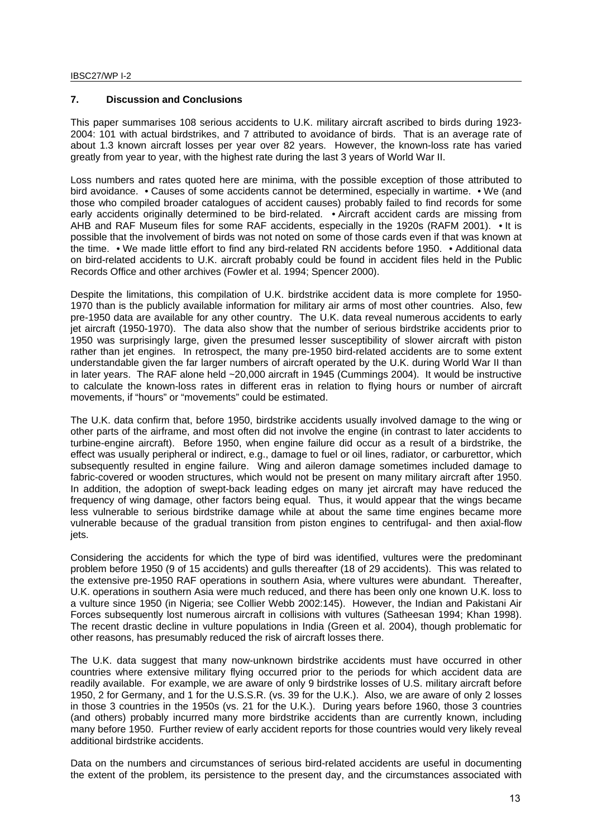# **7. Discussion and Conclusions**

This paper summarises 108 serious accidents to U.K. military aircraft ascribed to birds during 1923- 2004: 101 with actual birdstrikes, and 7 attributed to avoidance of birds. That is an average rate of about 1.3 known aircraft losses per year over 82 years. However, the known-loss rate has varied greatly from year to year, with the highest rate during the last 3 years of World War II.

Loss numbers and rates quoted here are minima, with the possible exception of those attributed to bird avoidance. • Causes of some accidents cannot be determined, especially in wartime. • We (and those who compiled broader catalogues of accident causes) probably failed to find records for some early accidents originally determined to be bird-related. • Aircraft accident cards are missing from AHB and RAF Museum files for some RAF accidents, especially in the 1920s (RAFM 2001). • It is possible that the involvement of birds was not noted on some of those cards even if that was known at the time. • We made little effort to find any bird-related RN accidents before 1950. • Additional data on bird-related accidents to U.K. aircraft probably could be found in accident files held in the Public Records Office and other archives (Fowler et al. 1994; Spencer 2000).

Despite the limitations, this compilation of U.K. birdstrike accident data is more complete for 1950- 1970 than is the publicly available information for military air arms of most other countries. Also, few pre-1950 data are available for any other country. The U.K. data reveal numerous accidents to early jet aircraft (1950-1970). The data also show that the number of serious birdstrike accidents prior to 1950 was surprisingly large, given the presumed lesser susceptibility of slower aircraft with piston rather than jet engines. In retrospect, the many pre-1950 bird-related accidents are to some extent understandable given the far larger numbers of aircraft operated by the U.K. during World War II than in later years. The RAF alone held ~20,000 aircraft in 1945 (Cummings 2004). It would be instructive to calculate the known-loss rates in different eras in relation to flying hours or number of aircraft movements, if "hours" or "movements" could be estimated.

The U.K. data confirm that, before 1950, birdstrike accidents usually involved damage to the wing or other parts of the airframe, and most often did not involve the engine (in contrast to later accidents to turbine-engine aircraft). Before 1950, when engine failure did occur as a result of a birdstrike, the effect was usually peripheral or indirect, e.g., damage to fuel or oil lines, radiator, or carburettor, which subsequently resulted in engine failure. Wing and aileron damage sometimes included damage to fabric-covered or wooden structures, which would not be present on many military aircraft after 1950. In addition, the adoption of swept-back leading edges on many jet aircraft may have reduced the frequency of wing damage, other factors being equal. Thus, it would appear that the wings became less vulnerable to serious birdstrike damage while at about the same time engines became more vulnerable because of the gradual transition from piston engines to centrifugal- and then axial-flow jets.

Considering the accidents for which the type of bird was identified, vultures were the predominant problem before 1950 (9 of 15 accidents) and gulls thereafter (18 of 29 accidents). This was related to the extensive pre-1950 RAF operations in southern Asia, where vultures were abundant. Thereafter, U.K. operations in southern Asia were much reduced, and there has been only one known U.K. loss to a vulture since 1950 (in Nigeria; see Collier Webb 2002:145). However, the Indian and Pakistani Air Forces subsequently lost numerous aircraft in collisions with vultures (Satheesan 1994; Khan 1998). The recent drastic decline in vulture populations in India (Green et al. 2004), though problematic for other reasons, has presumably reduced the risk of aircraft losses there.

The U.K. data suggest that many now-unknown birdstrike accidents must have occurred in other countries where extensive military flying occurred prior to the periods for which accident data are readily available. For example, we are aware of only 9 birdstrike losses of U.S. military aircraft before 1950, 2 for Germany, and 1 for the U.S.S.R. (vs. 39 for the U.K.). Also, we are aware of only 2 losses in those 3 countries in the 1950s (vs. 21 for the U.K.). During years before 1960, those 3 countries (and others) probably incurred many more birdstrike accidents than are currently known, including many before 1950. Further review of early accident reports for those countries would very likely reveal additional birdstrike accidents.

Data on the numbers and circumstances of serious bird-related accidents are useful in documenting the extent of the problem, its persistence to the present day, and the circumstances associated with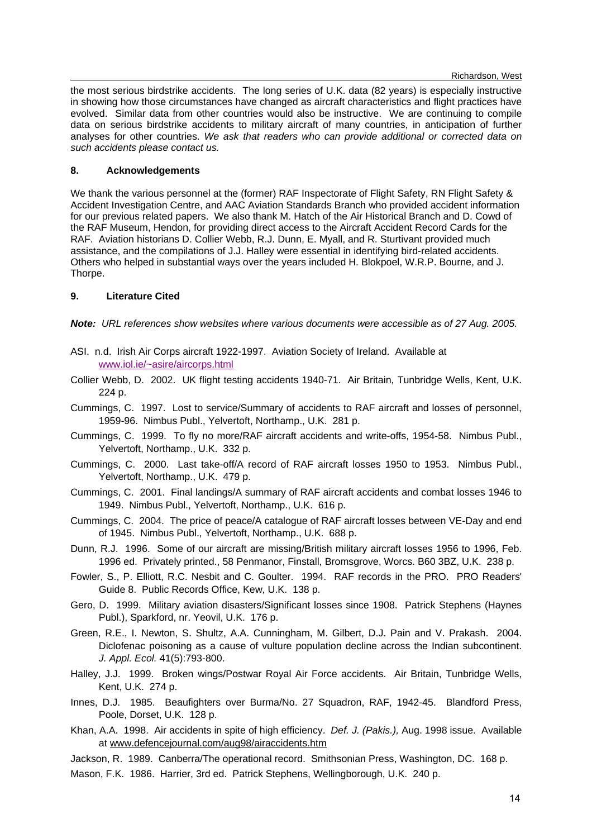Richardson, West

the most serious birdstrike accidents. The long series of U.K. data (82 years) is especially instructive in showing how those circumstances have changed as aircraft characteristics and flight practices have evolved. Similar data from other countries would also be instructive. We are continuing to compile data on serious birdstrike accidents to military aircraft of many countries, in anticipation of further analyses for other countries. *We ask that readers who can provide additional or corrected data on such accidents please contact us.*

# **8. Acknowledgements**

We thank the various personnel at the (former) RAF Inspectorate of Flight Safety, RN Flight Safety & Accident Investigation Centre, and AAC Aviation Standards Branch who provided accident information for our previous related papers. We also thank M. Hatch of the Air Historical Branch and D. Cowd of the RAF Museum, Hendon, for providing direct access to the Aircraft Accident Record Cards for the RAF. Aviation historians D. Collier Webb, R.J. Dunn, E. Myall, and R. Sturtivant provided much assistance, and the compilations of J.J. Halley were essential in identifying bird-related accidents. Others who helped in substantial ways over the years included H. Blokpoel, W.R.P. Bourne, and J. Thorpe.

# **9. Literature Cited**

*Note: URL references show websites where various documents were accessible as of 27 Aug. 2005.* 

- ASI. n.d. Irish Air Corps aircraft 1922-1997. Aviation Society of Ireland. Available at www.iol.ie/~asire/aircorps.html
- Collier Webb, D. 2002. UK flight testing accidents 1940-71. Air Britain, Tunbridge Wells, Kent, U.K. 224 p.
- Cummings, C. 1997. Lost to service/Summary of accidents to RAF aircraft and losses of personnel, 1959-96. Nimbus Publ., Yelvertoft, Northamp., U.K. 281 p.
- Cummings, C. 1999. To fly no more/RAF aircraft accidents and write-offs, 1954-58. Nimbus Publ., Yelvertoft, Northamp., U.K. 332 p.
- Cummings, C. 2000. Last take-off/A record of RAF aircraft losses 1950 to 1953. Nimbus Publ., Yelvertoft, Northamp., U.K. 479 p.
- Cummings, C. 2001. Final landings/A summary of RAF aircraft accidents and combat losses 1946 to 1949. Nimbus Publ., Yelvertoft, Northamp., U.K. 616 p.
- Cummings, C. 2004. The price of peace/A catalogue of RAF aircraft losses between VE-Day and end of 1945. Nimbus Publ., Yelvertoft, Northamp., U.K. 688 p.
- Dunn, R.J. 1996. Some of our aircraft are missing/British military aircraft losses 1956 to 1996, Feb. 1996 ed. Privately printed., 58 Penmanor, Finstall, Bromsgrove, Worcs. B60 3BZ, U.K. 238 p.
- Fowler, S., P. Elliott, R.C. Nesbit and C. Goulter. 1994. RAF records in the PRO. PRO Readers' Guide 8. Public Records Office, Kew, U.K. 138 p.
- Gero, D. 1999. Military aviation disasters/Significant losses since 1908. Patrick Stephens (Haynes Publ.), Sparkford, nr. Yeovil, U.K. 176 p.
- Green, R.E., I. Newton, S. Shultz, A.A. Cunningham, M. Gilbert, D.J. Pain and V. Prakash. 2004. Diclofenac poisoning as a cause of vulture population decline across the Indian subcontinent. *J. Appl. Ecol.* 41(5):793-800.
- Halley, J.J. 1999. Broken wings/Postwar Royal Air Force accidents. Air Britain, Tunbridge Wells, Kent, U.K. 274 p.
- Innes, D.J. 1985. Beaufighters over Burma/No. 27 Squadron, RAF, 1942-45. Blandford Press, Poole, Dorset, U.K. 128 p.
- Khan, A.A. 1998. Air accidents in spite of high efficiency. *Def. J. (Pakis.),* Aug. 1998 issue. Available at www.defencejournal.com/aug98/airaccidents.htm
- Jackson, R. 1989. Canberra/The operational record. Smithsonian Press, Washington, DC. 168 p.
- Mason, F.K. 1986. Harrier, 3rd ed. Patrick Stephens, Wellingborough, U.K. 240 p.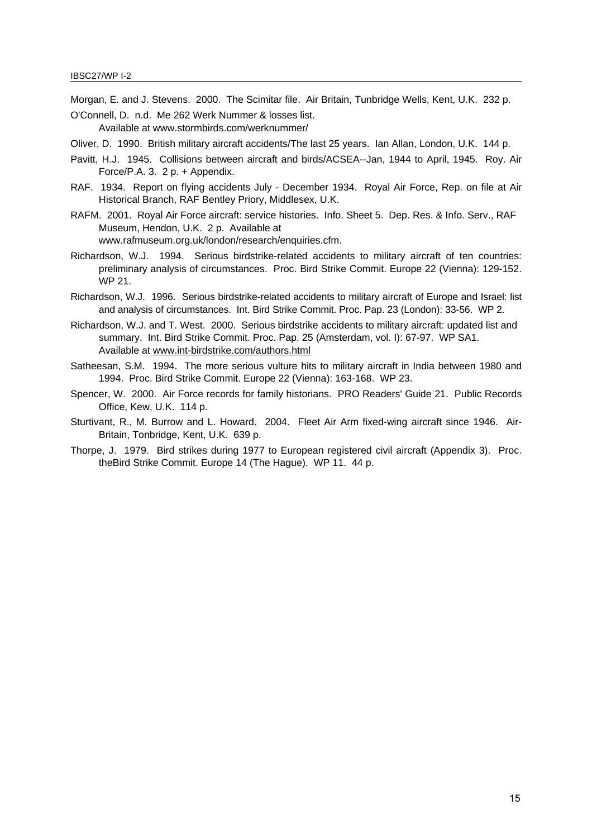Morgan, E. and J. Stevens. 2000. The Scimitar file. Air Britain, Tunbridge Wells, Kent, U.K. 232 p.

- O'Connell, D. n.d. Me 262 Werk Nummer & losses list. Available at www.stormbirds.com/werknummer/
- Oliver, D. 1990. British military aircraft accidents/The last 25 years. Ian Allan, London, U.K. 144 p.
- Pavitt, H.J. 1945. Collisions between aircraft and birds/ACSEA--Jan, 1944 to April, 1945. Roy. Air Force/P.A. 3. 2 p. + Appendix.
- RAF. 1934. Report on flying accidents July December 1934. Royal Air Force, Rep. on file at Air Historical Branch, RAF Bentley Priory, Middlesex, U.K.
- RAFM. 2001. Royal Air Force aircraft: service histories. Info. Sheet 5. Dep. Res. & Info. Serv., RAF Museum, Hendon, U.K. 2 p. Available at www.rafmuseum.org.uk/london/research/enquiries.cfm.
- Richardson, W.J. 1994. Serious birdstrike-related accidents to military aircraft of ten countries: preliminary analysis of circumstances. Proc. Bird Strike Commit. Europe 22 (Vienna): 129-152. WP 21.
- Richardson, W.J. 1996. Serious birdstrike-related accidents to military aircraft of Europe and Israel: list and analysis of circumstances. Int. Bird Strike Commit. Proc. Pap. 23 (London): 33-56. WP 2.
- Richardson, W.J. and T. West. 2000. Serious birdstrike accidents to military aircraft: updated list and summary. Int. Bird Strike Commit. Proc. Pap. 25 (Amsterdam, vol. I): 67-97. WP SA1. Available at www.int-birdstrike.com/authors.html
- Satheesan, S.M. 1994. The more serious vulture hits to military aircraft in India between 1980 and 1994. Proc. Bird Strike Commit. Europe 22 (Vienna): 163-168. WP 23.
- Spencer, W. 2000. Air Force records for family historians. PRO Readers' Guide 21. Public Records Office, Kew, U.K. 114 p.
- Sturtivant, R., M. Burrow and L. Howard. 2004. Fleet Air Arm fixed-wing aircraft since 1946. Air-Britain, Tonbridge, Kent, U.K. 639 p.
- Thorpe, J. 1979. Bird strikes during 1977 to European registered civil aircraft (Appendix 3). Proc. theBird Strike Commit. Europe 14 (The Hague). WP 11. 44 p.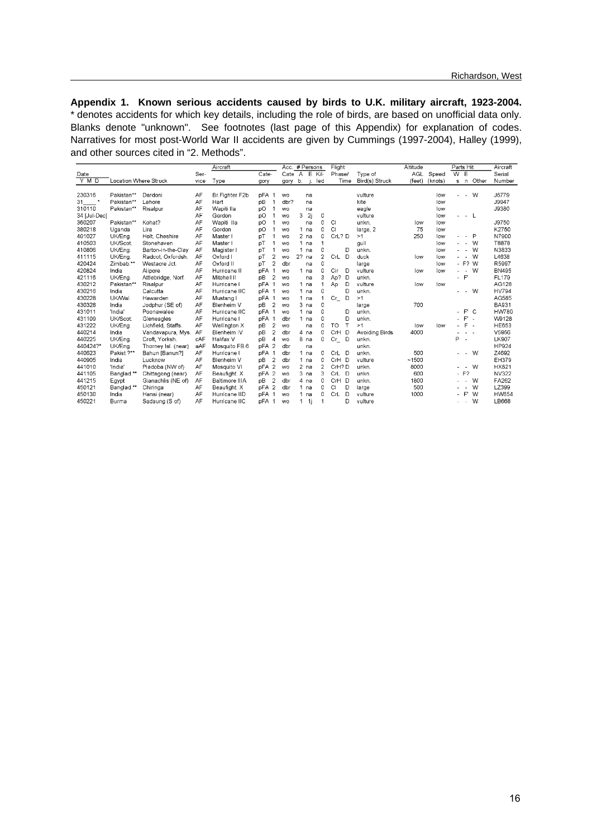**Appendix 1. Known serious accidents caused by birds to U.K. military aircraft, 1923-2004.** \* denotes accidents for which key details, including the role of birds, are based on unofficial data only. Blanks denote "unknown". See footnotes (last page of this Appendix) for explanation of codes. Narratives for most post-World War II accidents are given by Cummings (1997-2004), Halley (1999), and other sources cited in "2. Methods".

|              |            |                       | Aircraft |                |       | Acc. # Persons |                 |    |                 | Flight         |                | Altitude       |        | Parts Hit |                          |                       | Aircraft |              |
|--------------|------------|-----------------------|----------|----------------|-------|----------------|-----------------|----|-----------------|----------------|----------------|----------------|--------|-----------|--------------------------|-----------------------|----------|--------------|
| Date         |            |                       | Ser-     |                | Cate- |                | $\text{Cate}$ A |    | Έ               | $Kil-$         | Phase/         | Type of        | AGL    | Speed     | $\overline{w}$           | Έ                     |          | Serial       |
| Y M D        |            | Location Where Struck | vice     | Type           | gory  |                | gory            | b. |                 | led            | Time           | Bird(s) Struck | (feet) | (knots)   |                          | $s \nightharpoonup n$ | Other    | Number       |
| 230316       | Pakistan** | Dardoni               | AF       | Br.Fighter F2b | pFA   |                | <b>WO</b>       |    | na              |                |                | vulture        |        | low       |                          | $\sim$                | W        | J6779        |
| $31$ *       | Pakistan** | Lahore                | AF       | Hart           | pB    |                | dbr?            |    | na              |                |                | kite           |        | low       |                          |                       |          | J9947        |
| 310110       | Pakistan** | Risalpur              | AF       | Wapiti IIa     | DO    |                | <b>WO</b>       |    | na              |                |                | eagle          |        | low       |                          |                       |          | J9380        |
| 34 [Jul-Dec] |            |                       | AF       | Gordon         | pO    |                | <b>WO</b>       | 3  | 2i              | 0              |                | vulture        |        | low       |                          |                       | - L      |              |
| 360207       | Pakistan** | Kohat?                | AF       | Wapiti Ila     | pO    |                | wo.             |    | na              | 0              | CI             | unkn.          | low    | low       |                          |                       |          | J9750        |
| 380218       | Uganda     | Lira                  | AF       | Gordon         | pO    |                | <b>WO</b>       |    | 1 <sub>na</sub> | 0              | CI             | large, 2       | 75     | low       |                          |                       |          | K2750        |
| 401027       | UK/Eng.    | Holt, Cheshire        | AF       | Master         | pT    |                | wo.             |    | $2$ na          | 0              | CrL? D         | >1             | 250    | low       |                          | $\overline{a}$        | P        | N7900        |
| 410503       | UK/Scot.   | Stonehaven            | AF       | Master         | рT    |                | wo.             |    | 1 <sub>na</sub> | 1              |                | gull           |        | low       |                          | $\sim$                | W        | T8878        |
| 410806       | UK/Eng.    | Barton-in-the-Clay    | AF       | Magister I     | pT    |                | <b>WO</b>       |    | 1 <sub>na</sub> | 0              | D              | unkn.          |        | low       |                          |                       | W        | N3833        |
| 411115       | UK/Eng.    | Radcot, Oxfordsh.     | AF       | Oxford I       | pT    | 2              | WO              | 2? | na              | $\overline{a}$ | CrL<br>D       | duck           | low    | low       |                          | $\sim$                | W        | L4638        |
| 420424       | Zimbab.**  | Westacre Jct.         | AF       | Oxford II      | pT    | 2              | dbr             |    | na              | ۵              |                | large          |        | low       |                          | - F?                  | W        | R5997        |
| 420824       | India      | Alipore               | AF       | Hurricane II   | pFA   |                | <b>WO</b>       |    | 1 na            | 0              | Cir<br>D       | vulture        | low    | low       |                          | $\sim$                | W        | <b>BN495</b> |
| 421116       | UK/Eng.    | Attlebridge, Norf.    | AF       | Mitchell II    | pВ    | 2              | <b>WO</b>       |    | na              | 3              | D<br>Ap?       | unkn.          |        |           | $\overline{\phantom{a}}$ | F                     |          | FL179        |
| 430212       | Pakistan** | Risalpur              | AF       | Hurricane I    | pFA   |                | <b>WO</b>       |    | 1 na            | 1              | Ap<br>D        | vulture        | low    | low       |                          |                       |          | AG128        |
| 430216       | India      | Calcutta              | AF       | Hurricane IIC  | pFA   |                | wo.             |    | 1 na            | 0              | D              | unkn.          |        |           |                          | $\sim$                | W        | <b>HV794</b> |
| 430228       | UK/Wal.    | Hawarden              | AF       | Mustang I      | pFA   |                | <b>WO</b>       |    | 1 <sub>na</sub> | 1              | Cr<br>D        | >1             |        |           |                          |                       |          | AG585        |
| 430328       | India      | Jodphur (SE of)       | AF       | Blenheim V     | pB    | $\overline{2}$ | wo              |    | 3 na            | 0              |                | large          | 700    |           |                          |                       |          | <b>BA931</b> |
| 431011       | 'India'    | Poonawalee            | AF       | Hurricane IIC  | pFA   |                | wo.             |    | 1 <sub>na</sub> | 0              | D              | unkn.          |        |           |                          | $\mathsf{F}^*$        | C        | HW780        |
| 431109       | UK/Scot.   | Gleneagles            | AF       | Hurricane I    | pFA   |                | dbr             |    | 1 <sub>na</sub> | 0              | D              | unkn.          |        |           |                          | $F -$                 |          | W9128        |
| 431222       | UK/Eng.    | Lichfield, Staffs.    | AF       | Wellington X   | pB    | 2              | <b>WO</b>       |    | na              | 0              | T<br><b>TO</b> | >1             | low    | low       |                          | $F -$                 |          | HE653        |
| 440214       | India      | Vandavapura, Mys.     | AF       | Blenheim IV    | pB    | 2              | dbr             |    | 4 na            | 0              | CrH D          | Avoiding Birds | 4000   |           |                          |                       |          | V5956        |
| 440225       | UK/Eng.    | Croft. Yorksh.        | cAF      | Halifax V      | pВ    | $\overline{4}$ | <b>WO</b>       |    | 8 na            | 0              | $Cr$ D         | unkn.          |        |           | P                        |                       |          | LK907        |
| 440424?*     | UK/Eng.    | Thorney Isl. (near)   | aAF      | Mosquito FB.6  | pFA   | $\overline{c}$ | dbr             |    | na              |                |                | unkn.          |        |           |                          |                       |          | HP924        |
| 440623       | Pakist.?** | Bahun [Banun?]        | AF       | Hurricane I    | pFA   |                | dbr             |    | 1 na            | 0              | CrL D          | unkn.          | 500    |           |                          | $\sim$                | W        | Z4692        |
| 440905       | India      | Lucknow               | AF       | Blenheim V     | pВ    | 2              | dbr             |    | 1 <sub>na</sub> | 0              | CrH D          | vulture        | ~1500  |           |                          |                       |          | EH379        |
| 441010       | 'India'    | Piadoba (NW of)       | AF       | Mosquito VI    | pFA   | $\overline{2}$ | wo.             |    | $2$ na          | 2              | CrH? D         | unkn.          | 8000   |           |                          | $\sim$                | W        | HX821        |
| 441105       | Banglad.** | Chittagong (near)     | AF       | Beaufight. X   | pFA   | $\overline{2}$ | <b>WO</b>       |    | 3 na            | 3              | CrL D          | unkn.          | 600    |           |                          | $- F$ ?               |          | NV322        |
| 441215       | Egypt      | Gianachlis (NE of)    | AF       | Baltimore IIIA | pΒ    | 2              | dbr             |    | 4 na            | 0              | CrH D          | unkn.          | 1800   |           |                          | $\sim$                | W        | FA262        |
| 450121       | Banglad.** | Chiringa              | AF       | Beaufight. X   | pFA   | $\overline{2}$ | dbr             |    | 1 <sub>na</sub> | 0              | D<br>CI        | large          | 500    |           |                          | $\sim$                | W        | LZ399        |
| 450130       | India      | Hansi (near)          | AF       | Hurricane IID  | pFA   |                | <b>WO</b>       |    | 1 $na$          | 0              | D<br>CrL       | vulture        | 1000   |           |                          | $\mathsf{F}^*$        | W        | <b>HW654</b> |
| 450221       | Burma      | Sadaung (S of)        | AF       | Hurricane IIC  | pFA   |                | wo.             | 1  | 1i              |                | D              | vulture        |        |           |                          | $\sim$                | W        | LB668        |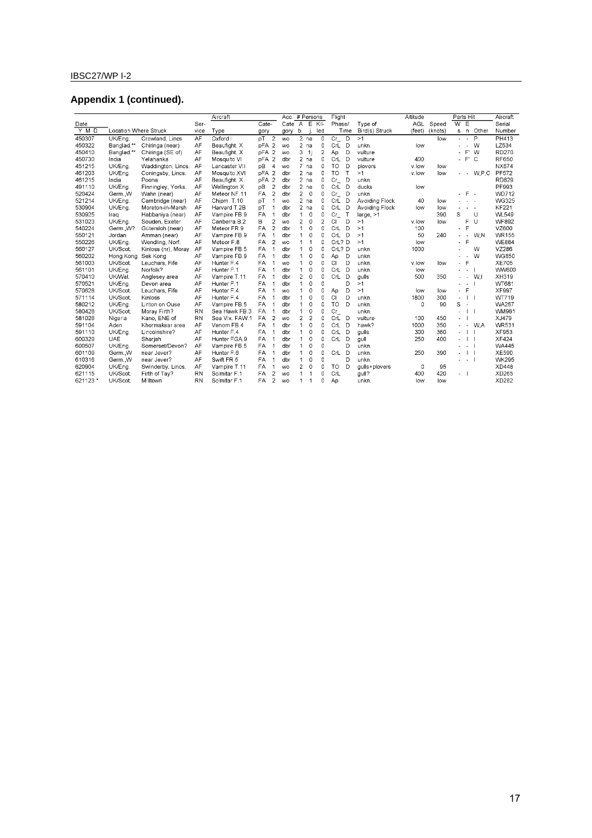# IBSC27/WP I-2

# **Appendix 1 (continued).**

|         |                       |                      |           | Aircraft       |            |                          | Acc. # Persons |                |                |                | Flight                      |              |                | Altitude   |         | Parts Hit      |                          |                          | Aircraft     |
|---------|-----------------------|----------------------|-----------|----------------|------------|--------------------------|----------------|----------------|----------------|----------------|-----------------------------|--------------|----------------|------------|---------|----------------|--------------------------|--------------------------|--------------|
| Date    |                       |                      | Ser-      |                | Cate-      |                          | Cate           | $\overline{A}$ | E              | Kil-           | Phase/                      |              | Type of        | <b>AGL</b> | Speed   | $\overline{W}$ | E                        |                          | Serial       |
| $Y$ M D | Location Where Struck |                      | vice      | Type           | gory       |                          | gory           | b.             |                | led            |                             | Time         | Bird(s) Struck | (feet)     | (knots) | s              | $\Box$                   | Other                    | Number       |
| 450307  | UK/Ena.               | Crowland, Lincs      | AF        | Oxford I       | pT         | $\overline{c}$           | <b>WO</b>      |                | $2$ na         | $\mathbf 0$    | $\overline{C}$ <sub>L</sub> | D            | >1             |            | low     | $\sim$         | $\sim$                   | P                        | PH413        |
| 450322  | Banglad.**            | Chiringa (near)      | AF        | Beaufight. X   | pFA        | $\overline{2}$           | <b>WO</b>      | $\overline{2}$ | na             | 0              | CrL                         | D            | unkn.          | low        |         |                | $\sim$                   | W                        | LZ534        |
| 450410  | Banglad.**            | Chiringa (SE of)     | AF        | Beaufight. X   | pFA        | $\overline{2}$           | <b>WO</b>      | 3              | -1i            | $\overline{2}$ | Ap                          | D            | vulture        |            |         | ä,             | F'                       | W                        | RD270        |
| 450730  | India                 | Yelahanka            | AF        | Mosquito VI    | pFA        | $\overline{2}$           | dbr            | $\overline{2}$ | na             | 0              | CrL                         | D            | vulture        | 400        |         | $\blacksquare$ | F                        | C                        | <b>RF650</b> |
| 451215  | UK/Eng.               | Waddington, Lincs.   | AF        | Lancaster VII  | pВ         | $\overline{4}$           | <b>WO</b>      |                | 7 na           | 0              | TO                          | D            | plovers        | v.low      | low     |                |                          |                          | <b>NX674</b> |
| 461203  | UK/Eng                | Coningsby, Lincs.    | AF        | Mosquito XVI   | pFA        | $\overline{2}$           | dbr            |                | $2$ na         | 0              | TO                          | T            | >1             | v.low      | low     |                | . .                      | W.P.C                    | PF572        |
| 461215  | India                 | Poona                | AF        | Beaufight. X   | <b>DFA</b> | $\overline{c}$           | dbr            |                | $2$ na         | $\mathbf 0$    | Cr.                         | D            | unkn.          |            |         |                |                          |                          | RD829        |
| 491110  | UK/Ena.               | Finningley, Yorks.   | AF        | Wellington X   | pB         | $\overline{c}$           | dbr            | $\overline{2}$ | na             | 0              | CrL                         | D            | ducks          | low        |         |                |                          |                          | PF993        |
| 520424  | Germ. W               | Wahn (near)          | AF        | Meteor NF.11   | FA         | $\overline{a}$           | dbr            | $\overline{2}$ | $\overline{0}$ | 0              | $Cr_{-}$                    | D            | unkn.          |            |         |                | F.                       | $\sim$                   | <b>WD712</b> |
| 521214  | UK/Ena.               | Cambridge (near)     | AF        | Chipm, T.10    | pT         | 1                        | <b>WO</b>      | $\overline{a}$ | na             | 0              | CrL                         | D            | Avoiding Flock | 40         | low     |                | ×                        |                          | <b>WG325</b> |
| 530904  | UK/Eng.               | Moreton-in-Marsh     | AF        | Harvard T.2B   | pT         | 1                        | dbr            |                | $2$ na         | 0              | CrL                         | D            | Avoiding Flock | low        | low     |                | ×.                       | $\overline{\phantom{a}}$ | <b>KF221</b> |
| 530925  | Iraq                  | Habbaniya (near)     | AF        | Vampire FB.9   | <b>FA</b>  | $\mathbf{1}$             | dbr            | $\mathbf{1}$   | $\mathbf 0$    | $\mathbf 0$    | Сr                          | $\mathsf{T}$ | large, >1      |            | 390     | Ś              |                          | U                        | <b>WL549</b> |
| 531023  | <b>UK/Eng</b>         | Souden, Exeter       | AF        | Canberra B.2   | B          | 2                        | <b>WO</b>      | 2              | $\theta$       | $\overline{2}$ | CI                          | D            | >1             | v.low      | low     |                | F                        | U                        | <b>WF892</b> |
| 540224  | GermW?                | Gütersloh (near)     | AF        | Meteor FR.9    | FA         | $\overline{2}$           | dbr            | 1              | 0              | 0              | CrL                         | D            | >1             | 100        |         | ÷.             | F                        |                          | VZ600        |
| 550121  | Jordan                | Amman (near)         | AF        | Vampire FB.9   | FA         | 1                        | dbr            | $\mathbf{1}$   | 0              | 0              | CrL                         | D            | >1             | 50         | 240     | $\sim$         | $\overline{\phantom{a}}$ | W.N                      | <b>WR155</b> |
| 550226  | UK/Eng.               | Wendling, Norf.      | AF        | Meteor F.8     | FA         | $\overline{a}$           | <b>WO</b>      | 1              | $\mathbf{1}$   | 0              | CrL? D                      |              | >1             | low        |         | ٠              | F                        |                          | <b>WE884</b> |
| 560127  | UK/Scot.              | Kinloss (nr), Moray. | AF        | Vampire FB.5   | <b>FA</b>  | f.                       | dbr            | 1              | 0              | 0              | CrL? D                      |              | unkn.          | 1000       |         |                |                          | W                        | VZ286        |
| 560202  | Hong Kong             | Sek Kong             | AF        | Vampire FB.9   | FA         | 1                        | dbr            | 1              | 0              | 0              | Ap                          | D            | unkn.          |            |         |                |                          | W                        | <b>WG850</b> |
| 561003  | UK/Scot.              | Leuchars, Fife       | AF        | Hunter F.4     | <b>FA</b>  | 1                        | <b>WO</b>      | 1              | $\overline{0}$ | $\mathbf 0$    | <b>CI</b>                   | D            | unkn.          | v.low      | low     | ä,             | $\mathsf F$              |                          | <b>XE705</b> |
| 561101  | UK/Eng.               | Norfolk?             | AF        | Hunter F.1     | FA         | 1                        | dbr            | $\mathbf{1}$   | 0              | 0              | CrL                         | D            | unkn.          | low        |         | $\overline{a}$ | $\sim$                   |                          | WW600        |
| 570410  | UK/Wal.               | Anglesey area        | AF        | Vampire T.11   | FA         | $\mathbf{1}$             | dbr            | 2              | $\Omega$       | 0              | CrL                         | D            | gulls          | 500        | 350     | ä,             | $\sim$                   | W.I                      | XH319        |
| 570521  | UK/Eng                | Devon area           | AF        | Hunter F.1     | FA         | 1                        | dbr            | 1              | 0              | 0              |                             | D            | >1             |            |         | L.             | $\sim$                   |                          | WT681        |
| 570628  | UK/Scot.              | Leuchars, Fife       | AF        | Hunter F.4     | FA         | 1                        | <b>WO</b>      | 1              | 0              | $\mathbf{0}$   | Ap                          | D            | >1             | low        | low     | ÷.             | E                        |                          | XF997        |
| 571114  | UK/Scot.              | Kinloss              | AF        | Hunter F.4     | <b>FA</b>  | 1                        | dbr            | 1              | $\theta$       | $\mathbf 0$    | CI                          | D            | unkn.          | 1800       | 300     | ä,             |                          |                          | WT719        |
| 580212  | UK/Ena.               | Linton on Ouse       | AF        | Vampire FB.5   | FA         | 1                        | dbr            | 1              | $\mathbf 0$    | $\Omega$       | TO                          | D            | unkn.          | ٥          | 90      | S              | ä,                       |                          | <b>WA257</b> |
| 580428  | UK/Scot.              | Moray Firth?         | <b>RN</b> | Sea Hawk FB.3  | FA         | $\overline{1}$           | dbr            | $\mathbf{1}$   | $\Omega$       | $\mathbf 0$    | Cr.                         |              | unkn.          |            |         | J.             |                          |                          | <b>WM981</b> |
| 581028  | Nigeria               | Kano, ENE of         | <b>RN</b> | Sea Vix. FAW.1 | FA         | $\overline{a}$           | <b>WO</b>      | 2              | $\overline{2}$ | 0              | CrL                         | D            | vulture        | 100        | 450     | ÷.             |                          |                          | XJ479        |
| 591104  | Aden                  | Khormaksar area      | AF        | Venom FB.4     | FA         | $\mathbf{1}$             | dbr            | 1              | $\mathbf 0$    | $\mathbf{0}$   | CrL                         | D            | hawk?          | 1000       | 350     | ÷.             | $\sim$                   | <b>W.A</b>               | <b>WR531</b> |
| 591110  | UK/Eng.               | Lincolnshire?        | AF        | Hunter F.4     | <b>FA</b>  | $\mathbf{1}$             | dbr            | 1              | $\mathbf 0$    | 0              | CrL                         | D            | gulls          | 300        | 360     | L.             |                          |                          | XF953        |
| 600329  | UAE                   | Shariah              | AF        | Hunter FGA.9   | FA         | $\overline{1}$           | dbr            | $\mathbf{1}$   | $\overline{0}$ | $\Omega$       | CrL                         | D            | gull           | 250        | 400     | $\overline{a}$ |                          |                          | XF424        |
| 600507  | UK/Eng.               | Somerset/Devon?      | AF        | Vampire FB.5   | <b>FA</b>  | 1                        | dbr            | 1              | $\mathbf 0$    | 0              |                             | D            | unkn.          |            |         |                | $\sim$                   |                          | <b>WA445</b> |
| 601109  | GermW                 | near Jever?          | AF        | Hunter F.6     | FA         | 1                        | dbr            | 1              | 0              | 0              | CrL                         | D            | unkn.          | 250        | 390     | ä,             |                          |                          | XE590        |
| 610316  | Germ. W               | near Jever?          | AF        | Swift FR.5     | <b>FA</b>  | 1                        | dbr            | 1              | 0              | 0              |                             | D            | unkn.          |            |         | ä,             | $\sim$                   |                          | <b>WK295</b> |
| 620904  | UK/Eng.               | Swinderby, Lincs.    | AF        | Vampire T.11   | FA         | $\overline{1}$           | <b>WO</b>      | 2              | 0              | 0              | TO                          | D            | gulls+plovers  | 0          | 95      |                |                          |                          | XD448        |
| 621115  | UK/Scot.              | Firth of Tay?        | <b>RN</b> | Scimitar F.1   | FA         | 2                        | <b>WO</b>      | 1              |                | $\mathbf 0$    | CrL                         |              | gull?          | 400        | 420     | $\overline{a}$ |                          |                          | XD265        |
| 621123* | UK/Scot.              | Milltown             | <b>RN</b> | Scimitar F.1   | <b>FA</b>  | $\overline{\phantom{a}}$ | <b>WO</b>      | $\mathbf{1}$   | -1             | 0              | Ap                          |              | unkn.          | low        | low     |                |                          |                          | XD282        |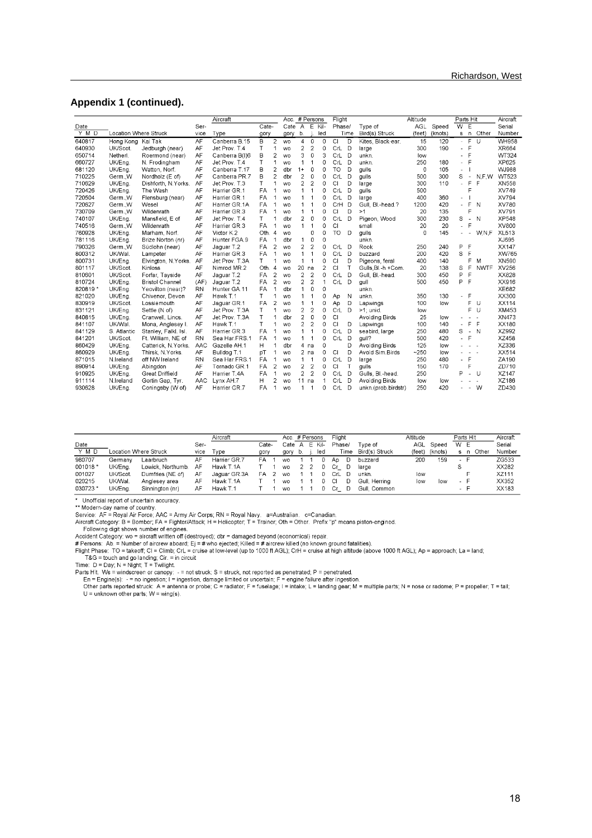#### **Appendix 1 (continued).**

|         |                       |                        | Aircraft  |                |       | Acc. # Persons |                 |                |                | Flight         |           |              | Altitude            |            | Parts Hit |                |                          | Aircraft     |              |
|---------|-----------------------|------------------------|-----------|----------------|-------|----------------|-----------------|----------------|----------------|----------------|-----------|--------------|---------------------|------------|-----------|----------------|--------------------------|--------------|--------------|
| Date    |                       |                        | Ser-      |                | Cate- |                | $\text{Cate}$ A |                |                | E Kil-         | Phase/    |              | Type of             | <b>AGL</b> | Speed     | $\overline{W}$ | Ε                        |              | Serial       |
| Y M D   | Location Where Struck |                        | vice      | Type           | gory  |                | gory            | b.             |                | led            |           | Time         | Bird(s) Struck      | (feet)     | (knots)   |                | $s \nightharpoonup n$    | Other        | Number       |
| 640817  | Hong Kong Kai Tak     |                        | AF        | Canberra B.15  | B     | 2              | <b>WO</b>       | 4              | 0              | 0              | <b>CI</b> | D            | Kites, Black-ear.   | 15         | 120       | a.             | F                        | -U           | WH958        |
| 640930  | UK/Scot.              | Jedburgh (near)        | AF        | Jet Prov. T.4  | T     |                | <b>WO</b>       | 2              | $\overline{c}$ | 0              | CrL       | D            | large               | 300        | 190       | ÷.             | F                        |              | XR664        |
| 650714  | Netherl.              | Roermond (near)        | AF        | Canberra B(I)6 | B     | $\overline{c}$ | <b>WO</b>       | 3              | $\mathbf 0$    | 3              | CrL       | D            | unkn.               | low        |           |                | F                        |              | WT324        |
| 660727  | UK/Ena.               | N. Frodingham          | AF        | Jet Prov. T.4  | T     | 1              | <b>WO</b>       | 1              | 1              | 0              | CrL       | D            | unkn.               | 250        | 180       |                | F                        |              | XP625        |
| 681120  | UK/Eng.               | Watton, Norf.          | AF        | Canberra T.17  | B     | $\overline{a}$ | dbr             | $1+$           | 0              | 0              | <b>TO</b> | D            | gulls               | 0          | 105       |                |                          |              | <b>WJ988</b> |
| 710225  | GermW                 | Nordholz (E of)        | AF        | Canberra PR.7  | B     | 2              | dbr             | 2              | 0              | 0              | CrL       | D            | qulls               | 500        | 300       | S              | $\overline{\phantom{a}}$ | N.F.W        | WT523        |
| 710629  | UK/Eng.               | Dishforth, N.Yorks.    | AF        | Jet Prov. T.3  | T     |                | <b>WO</b>       | $\overline{c}$ | $\overline{2}$ | 0              | CI        | D            | large               | 300        | 110       |                | F                        | F            | XN558        |
| 720426  | UK/Ena.               | The Wash               | AF        | Harrier GR.1   | FA    |                | <b>WO</b>       | 1              | $\mathbf{1}$   | 0              | CrL       | D            | aulls               | 500        |           |                | F                        |              | XV749        |
| 720504  | Germ., W              | Flensburg (near)       | AF        | Harrier GR.1   | FA    |                | <b>WO</b>       |                | $\mathbf{1}$   | 0              | CrL       | D            | large               | 400        | 360       |                |                          |              | XV794        |
| 720627  | GermW                 | Wesel                  | AF        | Harrier GR.1A  | FA    |                | <b>WO</b>       |                | 1              | O              | CrH       | D            | Gull, Bl.-head.?    | 1200       | 420       | ä,             | E                        | <sup>N</sup> | XV780        |
| 730709  | Germ., W              | Wildenrath             | AF        | Harrier GR.3   | FA    |                | <b>WO</b>       |                | 1              | 0              | CI        | D            | >1                  | 20         | 135       |                | Ē                        |              | XV791        |
| 740107  | UK/Eng.               | Mansfield, E of        | AF        | Jet Prov. T.4  | T     |                | dbr             | 2              | 0              | 0              | CrL       | D            | Pigeon, Wood        | 300        | 230       | S              | $\blacksquare$           | $\mathbb N$  | XP548        |
| 740516  | GermW                 | Wildenrath             | AF        | Harrier GR.3   | FA    |                | <b>WO</b>       |                | 1              | 0              | CI        |              | small               | 20         | 20        | u.             | F                        |              | XV800        |
| 760928  | UK/Eng.               | Marham, Norf.          | AF        | Victor K.2     | Oth.  | $\overline{4}$ | <b>WO</b>       |                | 0              | $\Omega$       | <b>TO</b> | D            | quils               | 0          | 145       |                | $\overline{\phantom{a}}$ | W.N.F        | <b>XL513</b> |
| 781116  | UK/Eng.               | Brize Norton (nr)      | AF        | Hunter FGA.9   | FA    | 1              | dbr             | $\mathbf{1}$   | 0              | 0              |           |              | unkn.               |            |           |                |                          |              | XJ695        |
| 790326  | GermW                 | Südlohn (near)         | AF        | Jaquar T.2     | FA    | $\overline{2}$ | <b>WO</b>       | $\overline{c}$ | $\overline{2}$ | 0              | CrL       | Ð            | Rook                | 250        | 240       | P              | F                        |              | XX147        |
| 800312  | UK/Wal.               | Lampeter               | AF        | Harrier GR.3   | FA    | 1              | <b>WO</b>       | 1              | $\mathbf{1}$   | 0              | CrL       | D            | buzzard             | 200        | 420       | S              | E                        |              | XW765        |
| 800731  | UK/Ena.               | Elvinaton, N.Yorks.    | AF        | Jet Prov. T.3A | т     |                | <b>WO</b>       | $\mathbf{1}$   | 1              | 0              | CI        | D            | Pigeons, feral      | 400        | 140       |                | F                        | M            | XN590        |
| 801117  | UK/Scot.              | Kinloss                | AF        | Nimrod MR.2    | Oth.  | Δ              | <b>WO</b>       | 20             | na             | $\overline{c}$ | CI        | $\mathsf{T}$ | Gulls Bl.-h.+Com.   | 20         | 138       | S              | F                        | <b>NWTF</b>  | XV256        |
| 810601  | UK/Scot.              | Forfar, Tayside        | AF        | Jaguar T.2     | FA    | $\overline{a}$ | <b>WO</b>       | 2              | $\overline{2}$ | 0              | CrL       | D            | Gull, Bl.-head.     | 300        | 450       | p              | F                        |              | XX828        |
| 810724  | UK/Eng.               | <b>Bristol Channel</b> | (AF)      | Jaguar T.2     | FA    | 2              | <b>WO</b>       | 2              | $\overline{2}$ | 1              | CrL       | D            | gull                | 500        | 450       | P              | F                        |              | XX916        |
| 820819* | UK/Eng.               | Yeovilton (near)?      | <b>RN</b> | Hunter GA 11   | FA    | 1              | dbr             | 1              | 0              | 0              |           |              | unkn.               |            |           |                |                          |              | XE682        |
| 821020  | UK/Ena.               | Chivenor, Devon        | AF        | Hawk T.1       | т     |                | <b>WO</b>       |                | 1              | 0              | Ap        | N            | unkn.               | 350        | 130       |                | F                        |              | XX300        |
| 830919  | UK/Scot.              | Lossiemouth            | AF        | Jaguar GR.1    | FA    | $\overline{2}$ | <b>WO</b>       |                | 1              | 0              | Ap        | D            | Lapwings            | 100        | low       |                | F.                       | - U          | XX114        |
| 831121  | UK/Eng.               | Settle (N of)          | AF        | Jet Prov. T.3A | T     | 1              | <b>WO</b>       | 2              | $\overline{2}$ | $\Omega$       | CrL       | D            | $>1$ ; unid         | low        |           |                | F                        | -U           | XM453        |
| 840815  | UK/Eng.               | Cranwell, Lincs.       | AF        | Jet Prov. T.3A | T     | 1              | dbr             | $\overline{2}$ | $\circ$        | $\Omega$       | CI        |              | Avoiding Birds      | 25         | low       |                | $\overline{a}$           | $\sim$       | XN473        |
| 841107  | UK/Wal.               | Mona, Anglesey I       | AF        | Hawk T.1       | т     | 1              | <b>WO</b>       | 2              | $\overline{2}$ | 0              | CI        | D            | Lapwings            | 100        | 140       |                | F                        | -F           | XX180        |
| 841129  | S. Atlantic           | Stanley, Falkl. Isl.   | AF        | Harrier GR.3   | FA    |                | <b>WO</b>       |                | $\mathbf{1}$   | 0              | CrL       | D            | seabird, large      | 250        | 480       | S              | $\sim$                   | N            | XZ992        |
| 841201  | UK/Scot.              | Ft. William, NE of     | <b>RN</b> | Sea Har FRS.1  | FA    |                | <b>WO</b>       |                | $\mathbf{1}$   | 0              | CrL       | D            | qull?               | 500        | 420       | $\blacksquare$ | F                        |              | XZ458        |
| 860429  | UK/Eng.               | Catterick, N.Yorks.    | AAC       | Gazelle AH.1   | н     |                | dbr             | 4              | na             | 0              |           | D            | Avoiding Birds      | 125        | low       |                |                          | $\sim$       | XZ336        |
| 860929  | UK/Eng.               | Thirsk, N.Yorks.       | AF        | Bulldog T.1    | pT    |                | <b>WO</b>       |                | $2$ na         | 0              | CI        | D            | Avoid Sim.Birds     | $-250$     | low       |                | $\sim$                   |              | XX514        |
| 871015  | N.Ireland             | off NW Ireland         | <b>RN</b> | Sea Har FRS.1  | FA    |                | <b>WO</b>       |                | 1              | 0              | CrL       | D            | large               | 250        | 480       | ä,             | F                        |              | ZA190        |
| 890914  | UK/Eng.               | Abingdon               | AF        | Tornado GR.1   | FA    | 2              | <b>WO</b>       | 2              | $\overline{c}$ | 0              | CI        | T            | quils               | 150        | 170       |                | F                        |              | ZD710        |
| 910925  | UK/Eng.               | Great Driffield        | AF        | Harrier T.4A   | FA    | 1              | <b>WO</b>       | $\overline{c}$ | $\overline{2}$ | 0              | CrL       | D            | Gulls, Bl.-head.    | 250        |           | P              | $\omega$                 | <b>U</b>     | XZ147        |
| 911114  | N.Ireland             | Gortin Gap. Tvr.       | AAC       | Lynx AH.7      | H     | $\overline{2}$ | <b>WO</b>       | 11             | na             | 1              | CrL       | D            | Avoiding Birds      | low        | low       |                |                          | $\mathbf{r}$ | XZ186        |
| 930628  | UK/Eng.               | Coningsby (W of)       | AF        | Harrier GR.7   | FA    | 1              | <b>WO</b>       | 1              | 1              | 0              | CrL       | D            | unkn.(prob.birdstr) | 250        | 420       |                |                          | $-W$         | ZD430        |

|          |          |                       |      | Aircraft     |       | Acc. # Persons |    |   |      | Flight |      |                | Altitude |         |        | Parts Hit   | Aircraft |
|----------|----------|-----------------------|------|--------------|-------|----------------|----|---|------|--------|------|----------------|----------|---------|--------|-------------|----------|
| Date     |          |                       | Ser- |              | ેate- | Cate           | A  | Е | Kil- | Phase/ |      | Tvpe of        | AGL      | Speed   | W      | E           | Serial   |
| Y M D    |          | Location Where Struck | vice | Type         | gory  | gory           | D. |   | led  |        | Time | Bird(s) Struck | (feet)   | (knots) | s      | Other<br>n. | Number   |
| 980707   | Germanv  | Laarbruch             | AF   | Harrier GR.7 | FA    | <b>WO</b>      |    |   |      | An     | D    | buzzard        | 200      | 159     |        |             | ZG533    |
| 001018*  | UK/Ena.  | Lowick, Northumb.     | AF   | Hawk T.1A    |       | <b>WO</b>      |    |   |      |        | D    | large          |          |         |        |             | XX282    |
| 001027   | UK/Scot. | Dumfries (NE of)      | AF   | Jaguar GR.3A | FA    | <b>WO</b>      |    |   |      | Crl.   |      | unkn.          | low      |         |        |             | XZ111    |
| 020215   | UK/Wal.  | Anglesey area         | AF   | Hawk T.1A    |       | <b>WO</b>      |    |   |      |        | D    | Gull, Herrina  | low      | low     | $\sim$ | ►           | XX352    |
| 030723 * | UK/Ena.  | Sinnington (nr)       | AF   | Hawk T.1     |       | <b>WO</b>      |    |   |      |        | D    | Gull. Common   |          |         | - F    |             | XX183    |

→ Unofficial report of uncertain accuracy.<br>\*\* Modern-day name of country.<br>Service: AF = Royal Air Force; AAC = Army Air Corps; RN = Royal Navy. a=Australian. c=Canadian.<br>Aircraft Category: B = Bomber; FA = Fighter/Attack

or the matter of the off (destroyed); dbr = damaged beyond (economical) repair.<br># Persons: Ab. = Number of aircrew aboard; Ej = # who ejected; Killed = # aircrew killed (no known ground fatalities).<br># Persons: Ab. = Number

T&G = touch and go landing; Cir. = in circuit<br>Time:  $D = Day$ ; N = Night; T = Twilight.

Time: D = Day; N = Night; T = Twilight.<br>Parts Hit. Ws = windscreen or canopy: - = not struck; S = struck, not reported as penetrated; P = penetrated.<br>En = Engine(s): - = no ingestion; I = ingestion, damage limited or uncer